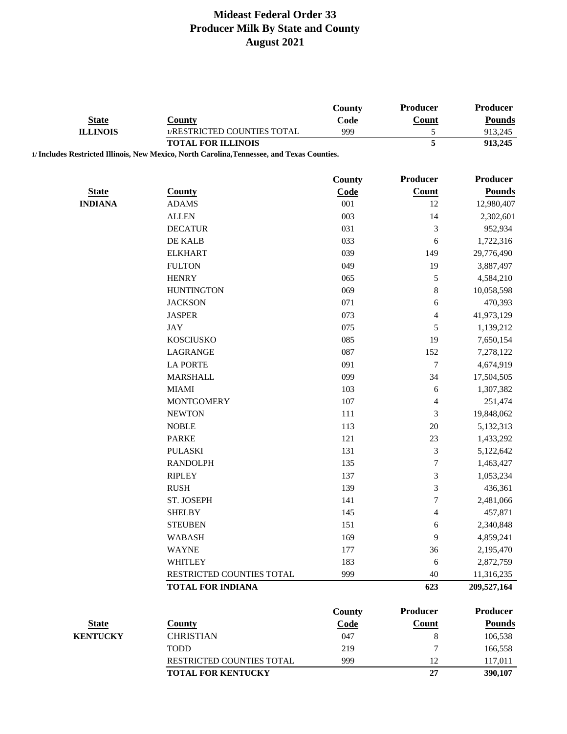|                                 |                                                                                             | County      | <b>Producer</b>    | <b>Producer</b>             |
|---------------------------------|---------------------------------------------------------------------------------------------|-------------|--------------------|-----------------------------|
| <b>State</b><br><b>ILLINOIS</b> | <b>County</b>                                                                               | Code        | <b>Count</b>       | <b>Pounds</b>               |
|                                 | 1/RESTRICTED COUNTIES TOTAL                                                                 | 999         | 5                  | 913,245                     |
|                                 | <b>TOTAL FOR ILLINOIS</b>                                                                   |             | 5                  | 913,245                     |
|                                 | 1/ Includes Restricted Illinois, New Mexico, North Carolina, Tennessee, and Texas Counties. |             |                    |                             |
|                                 |                                                                                             | County      | Producer           | <b>Producer</b>             |
| <b>State</b>                    | <b>County</b>                                                                               |             |                    |                             |
|                                 |                                                                                             | Code<br>001 | <b>Count</b><br>12 | <b>Pounds</b><br>12,980,407 |
| <b>INDIANA</b>                  | <b>ADAMS</b><br><b>ALLEN</b>                                                                |             |                    |                             |
|                                 |                                                                                             | 003         | 14                 | 2,302,601                   |
|                                 | <b>DECATUR</b>                                                                              | 031         | $\mathfrak{Z}$     | 952,934                     |
|                                 | DE KALB                                                                                     | 033         | 6                  | 1,722,316                   |
|                                 | <b>ELKHART</b>                                                                              | 039         | 149                | 29,776,490                  |
|                                 | <b>FULTON</b>                                                                               | 049         | 19                 | 3,887,497                   |
|                                 | <b>HENRY</b>                                                                                | 065         | $\sqrt{5}$         | 4,584,210                   |
|                                 | <b>HUNTINGTON</b>                                                                           | 069         | $\,8\,$            | 10,058,598                  |
|                                 | <b>JACKSON</b>                                                                              | 071         | 6                  | 470,393                     |
|                                 | <b>JASPER</b>                                                                               | 073         | $\overline{4}$     | 41,973,129                  |
|                                 | <b>JAY</b>                                                                                  | 075         | $\sqrt{5}$         | 1,139,212                   |
|                                 | <b>KOSCIUSKO</b>                                                                            | 085         | 19                 | 7,650,154                   |
|                                 | LAGRANGE                                                                                    | 087         | 152                | 7,278,122                   |
|                                 | <b>LA PORTE</b>                                                                             | 091         | $\tau$             | 4,674,919                   |
|                                 | <b>MARSHALL</b>                                                                             | 099         | 34                 | 17,504,505                  |
|                                 | <b>MIAMI</b>                                                                                | 103         | 6                  | 1,307,382                   |
|                                 | <b>MONTGOMERY</b>                                                                           | 107         | $\overline{4}$     | 251,474                     |
|                                 | <b>NEWTON</b>                                                                               | 111         | $\mathfrak{Z}$     | 19,848,062                  |
|                                 | <b>NOBLE</b>                                                                                | 113         | $20\,$             | 5,132,313                   |
|                                 | <b>PARKE</b>                                                                                | 121         | 23                 | 1,433,292                   |
|                                 | PULASKI                                                                                     | 131         | $\mathfrak{Z}$     | 5,122,642                   |
|                                 | <b>RANDOLPH</b>                                                                             | 135         | $\boldsymbol{7}$   | 1,463,427                   |
|                                 | <b>RIPLEY</b>                                                                               | 137         | $\mathfrak{Z}$     | 1,053,234                   |
|                                 | <b>RUSH</b>                                                                                 | 139         | $\mathfrak{Z}$     | 436,361                     |
|                                 | ST. JOSEPH                                                                                  | 141         | $\overline{7}$     | 2,481,066                   |
|                                 | <b>SHELBY</b>                                                                               | 145         |                    | 457,871                     |
|                                 |                                                                                             |             | $\overline{4}$     |                             |
|                                 | <b>STEUBEN</b>                                                                              | 151         | 6                  | 2,340,848                   |
|                                 | <b>WABASH</b>                                                                               | 169         | 9                  | 4,859,241                   |
|                                 | <b>WAYNE</b>                                                                                | 177         | 36                 | 2,195,470                   |
|                                 | <b>WHITLEY</b>                                                                              | 183         | 6                  | 2,872,759                   |
|                                 | RESTRICTED COUNTIES TOTAL                                                                   | 999         | 40                 | 11,316,235                  |
|                                 | <b>TOTAL FOR INDIANA</b>                                                                    |             | 623                | 209,527,164                 |
|                                 |                                                                                             | County      | <b>Producer</b>    | <b>Producer</b>             |
| <b>State</b>                    | <b>County</b>                                                                               | Code        | <b>Count</b>       | <b>Pounds</b>               |
| <b>KENTUCKY</b>                 | <b>CHRISTIAN</b>                                                                            | 047         | $\,8\,$            | 106,538                     |
|                                 | <b>TODD</b>                                                                                 | 219         | $\tau$             | 166,558                     |
|                                 | RESTRICTED COUNTIES TOTAL                                                                   | 999         | 12                 | 117,011                     |
|                                 | <b>TOTAL FOR KENTUCKY</b>                                                                   |             | 27                 | 390,107                     |
|                                 |                                                                                             |             |                    |                             |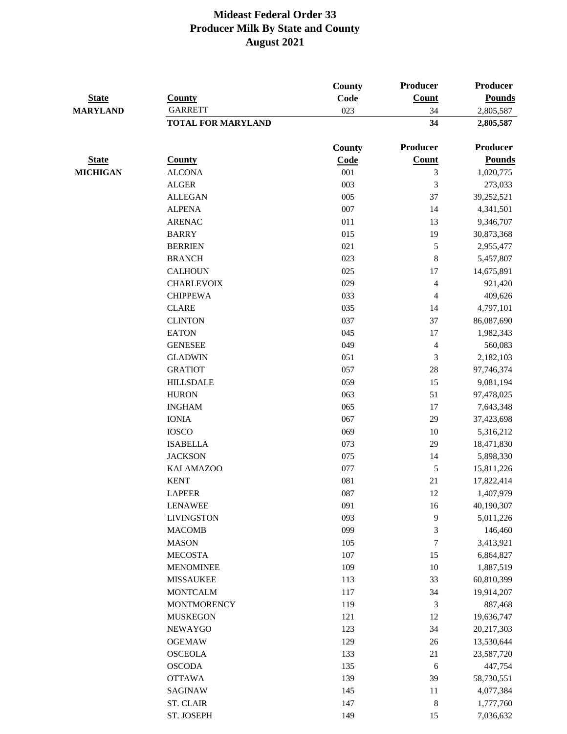|                                 |                           | County        | Producer                    | <b>Producer</b> |
|---------------------------------|---------------------------|---------------|-----------------------------|-----------------|
| <b>State</b><br><b>MARYLAND</b> | <b>County</b>             | Code          | Count                       | <b>Pounds</b>   |
|                                 | <b>GARRETT</b>            | 023           | 34                          | 2,805,587       |
|                                 | <b>TOTAL FOR MARYLAND</b> |               | 34                          | 2,805,587       |
|                                 |                           | <b>County</b> | Producer                    | <b>Producer</b> |
| <b>State</b>                    | <b>County</b>             | Code          | <b>Count</b>                | <b>Pounds</b>   |
| <b>MICHIGAN</b>                 | <b>ALCONA</b>             | 001           | $\mathfrak 3$               | 1,020,775       |
|                                 | <b>ALGER</b>              | 003           | $\mathfrak 3$               | 273,033         |
|                                 | <b>ALLEGAN</b>            | 005           | 37                          | 39,252,521      |
|                                 | <b>ALPENA</b>             | 007           | 14                          | 4,341,501       |
|                                 | <b>ARENAC</b>             | 011           | 13                          | 9,346,707       |
|                                 | <b>BARRY</b>              | 015           | 19                          | 30,873,368      |
|                                 | <b>BERRIEN</b>            | 021           | $\sqrt{5}$                  | 2,955,477       |
|                                 | <b>BRANCH</b>             | 023           | $\,8\,$                     | 5,457,807       |
|                                 | <b>CALHOUN</b>            | 025           | 17                          | 14,675,891      |
|                                 | <b>CHARLEVOIX</b>         | 029           | $\overline{4}$              | 921,420         |
|                                 | <b>CHIPPEWA</b>           | 033           | $\overline{4}$              | 409,626         |
|                                 | <b>CLARE</b>              | 035           | 14                          | 4,797,101       |
|                                 | <b>CLINTON</b>            | 037           | 37                          | 86,087,690      |
|                                 | <b>EATON</b>              | 045           | $17\,$                      | 1,982,343       |
|                                 | <b>GENESEE</b>            | 049           | $\overline{4}$              | 560,083         |
|                                 | <b>GLADWIN</b>            | 051           | $\mathfrak 3$               | 2,182,103       |
|                                 | <b>GRATIOT</b>            | 057           | 28                          | 97,746,374      |
|                                 | <b>HILLSDALE</b>          | 059           | 15                          | 9,081,194       |
|                                 | <b>HURON</b>              | 063           | 51                          | 97,478,025      |
|                                 | <b>INGHAM</b>             | 065           | 17                          | 7,643,348       |
|                                 | <b>IONIA</b>              | 067           | 29                          | 37,423,698      |
|                                 | <b>IOSCO</b>              | 069           | 10                          | 5,316,212       |
|                                 | <b>ISABELLA</b>           | 073           | 29                          | 18,471,830      |
|                                 | <b>JACKSON</b>            | 075           | 14                          | 5,898,330       |
|                                 | <b>KALAMAZOO</b>          | 077           | $\mathfrak s$               | 15,811,226      |
|                                 | <b>KENT</b>               | 081           | 21                          | 17,822,414      |
|                                 | <b>LAPEER</b>             | 087           | 12                          | 1,407,979       |
|                                 | <b>LENAWEE</b>            | 091           | 16                          | 40,190,307      |
|                                 | <b>LIVINGSTON</b>         | 093           | $\mathbf{9}$                | 5,011,226       |
|                                 | <b>MACOMB</b>             | 099           | $\mathfrak{Z}$              | 146,460         |
|                                 | <b>MASON</b>              | 105           | $\tau$                      | 3,413,921       |
|                                 | <b>MECOSTA</b>            | 107           | 15                          | 6,864,827       |
|                                 | <b>MENOMINEE</b>          | 109           | $10\,$                      | 1,887,519       |
|                                 | <b>MISSAUKEE</b>          | 113           | 33                          | 60,810,399      |
|                                 | <b>MONTCALM</b>           | 117           | 34                          | 19,914,207      |
|                                 | <b>MONTMORENCY</b>        | 119           | $\ensuremath{\mathfrak{Z}}$ | 887,468         |
|                                 | <b>MUSKEGON</b>           | 121           | 12                          | 19,636,747      |
|                                 | <b>NEWAYGO</b>            | 123           | 34                          | 20,217,303      |
|                                 | <b>OGEMAW</b>             | 129           | $26\,$                      | 13,530,644      |
|                                 | <b>OSCEOLA</b>            | 133           | 21                          | 23,587,720      |
|                                 | <b>OSCODA</b>             | 135           | $\sqrt{6}$                  | 447,754         |
|                                 | <b>OTTAWA</b>             | 139           | 39                          | 58,730,551      |
|                                 | <b>SAGINAW</b>            | 145           | 11                          | 4,077,384       |
|                                 | <b>ST. CLAIR</b>          | 147           | $\,8\,$                     | 1,777,760       |
|                                 | ST. JOSEPH                | 149           | 15                          | 7,036,632       |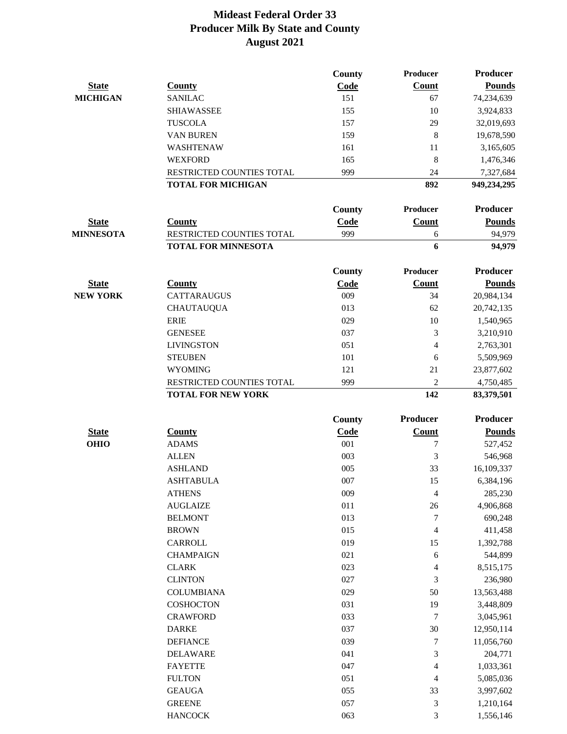|                             |                               | County        | Producer        | <b>Producer</b> |
|-----------------------------|-------------------------------|---------------|-----------------|-----------------|
| <b>State</b>                | <b>County</b>                 | Code          | Count           | <b>Pounds</b>   |
| <b>MICHIGAN</b>             | <b>SANILAC</b>                | 151           | 67              | 74,234,639      |
|                             | <b>SHIAWASSEE</b>             | 155           | 10              | 3,924,833       |
|                             | <b>TUSCOLA</b>                | 157           | 29              | 32,019,693      |
|                             | <b>VAN BUREN</b>              | 159           | 8               | 19,678,590      |
|                             | <b>WASHTENAW</b>              | 161           | 11              | 3,165,605       |
|                             | <b>WEXFORD</b>                | 165           | 8               | 1,476,346       |
|                             | RESTRICTED COUNTIES TOTAL     | 999           | 24              | 7,327,684       |
|                             | <b>TOTAL FOR MICHIGAN</b>     |               | 892             | 949,234,295     |
|                             |                               | County        | Producer        | <b>Producer</b> |
| <b>State</b>                | <b>County</b>                 | Code          | <b>Count</b>    | <b>Pounds</b>   |
| <b>MINNESOTA</b>            | RESTRICTED COUNTIES TOTAL     | 999           | 6               | 94,979          |
|                             | <b>TOTAL FOR MINNESOTA</b>    |               | 6               | 94,979          |
|                             |                               |               |                 |                 |
|                             |                               | County        | <b>Producer</b> | <b>Producer</b> |
| <b>State</b>                | <b>County</b>                 | Code          | <b>Count</b>    | <b>Pounds</b>   |
| <b>NEW YORK</b>             | <b>CATTARAUGUS</b>            | 009           | 34              | 20,984,134      |
|                             | <b>CHAUTAUQUA</b>             | 013           | 62              | 20,742,135      |
|                             | <b>ERIE</b>                   | 029           | 10              | 1,540,965       |
|                             | <b>GENESEE</b>                | 037           | $\mathfrak{Z}$  | 3,210,910       |
|                             | <b>LIVINGSTON</b>             | 051           | $\overline{4}$  | 2,763,301       |
|                             | <b>STEUBEN</b>                | 101           | 6               | 5,509,969       |
|                             | <b>WYOMING</b>                | 121           | 21              | 23,877,602      |
|                             | RESTRICTED COUNTIES TOTAL     | 999           | $\overline{2}$  | 4,750,485       |
|                             | <b>TOTAL FOR NEW YORK</b>     |               | 142             | 83,379,501      |
|                             |                               |               | <b>Producer</b> | <b>Producer</b> |
|                             |                               | <b>County</b> |                 |                 |
| <b>State</b><br><b>OHIO</b> | <b>County</b><br><b>ADAMS</b> | Code<br>001   | Count           | <b>Pounds</b>   |
|                             |                               |               | 7               | 527,452         |
|                             | <b>ALLEN</b>                  | 003           | 3               | 546,968         |
|                             | <b>ASHLAND</b>                | 005           | 33              | 16,109,337      |
|                             | <b>ASHTABULA</b>              | $007\,$       | 15              | 6,384,196       |
|                             | <b>ATHENS</b>                 | 009           | $\overline{4}$  | 285,230         |
|                             | <b>AUGLAIZE</b>               | 011           | $26\,$          | 4,906,868       |
|                             | <b>BELMONT</b>                | 013           | 7               | 690,248         |
|                             | <b>BROWN</b>                  | 015           | 4               | 411,458         |
|                             | CARROLL                       | 019           | 15              | 1,392,788       |
|                             | <b>CHAMPAIGN</b>              | 021           | 6               | 544,899         |
|                             | <b>CLARK</b>                  | 023           | 4               | 8,515,175       |
|                             | <b>CLINTON</b>                | 027           | 3               | 236,980         |
|                             | <b>COLUMBIANA</b>             | 029           | 50              | 13,563,488      |
|                             | <b>COSHOCTON</b>              | 031           | 19              | 3,448,809       |
|                             | <b>CRAWFORD</b>               | 033           | 7               | 3,045,961       |
|                             | <b>DARKE</b>                  | 037           | $30\,$          | 12,950,114      |
|                             | <b>DEFIANCE</b>               | 039           | 7               | 11,056,760      |
|                             | <b>DELAWARE</b>               | 041           | 3               | 204,771         |
|                             | <b>FAYETTE</b>                | 047           | 4               | 1,033,361       |
|                             | <b>FULTON</b>                 | 051           | 4               | 5,085,036       |
|                             | <b>GEAUGA</b>                 | 055           | 33              | 3,997,602       |
|                             | <b>GREENE</b>                 | 057           | 3               | 1,210,164       |
|                             | <b>HANCOCK</b>                | 063           | 3               | 1,556,146       |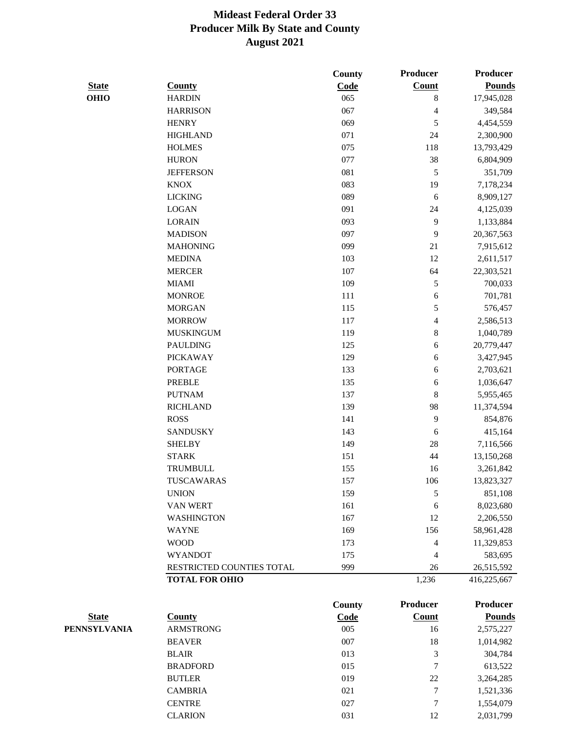|              |                           | County        | <b>Producer</b>         | <b>Producer</b> |
|--------------|---------------------------|---------------|-------------------------|-----------------|
| <b>State</b> | <b>County</b>             | Code          | <b>Count</b>            | <b>Pounds</b>   |
| <b>OHIO</b>  | <b>HARDIN</b>             | 065           | $\,8\,$                 | 17,945,028      |
|              | <b>HARRISON</b>           | 067           | 4                       | 349,584         |
|              | <b>HENRY</b>              | 069           | 5                       | 4,454,559       |
|              | <b>HIGHLAND</b>           | 071           | $24\,$                  | 2,300,900       |
|              | <b>HOLMES</b>             | 075           | 118                     | 13,793,429      |
|              | <b>HURON</b>              | 077           | 38                      | 6,804,909       |
|              | <b>JEFFERSON</b>          | 081           | $\mathfrak s$           | 351,709         |
|              | <b>KNOX</b>               | 083           | 19                      | 7,178,234       |
|              | <b>LICKING</b>            | 089           | 6                       | 8,909,127       |
|              | <b>LOGAN</b>              | 091           | 24                      | 4,125,039       |
|              | <b>LORAIN</b>             | 093           | $\mathbf{9}$            | 1,133,884       |
|              | <b>MADISON</b>            | 097           | 9                       | 20,367,563      |
|              | <b>MAHONING</b>           | 099           | 21                      | 7,915,612       |
|              | <b>MEDINA</b>             | 103           | 12                      | 2,611,517       |
|              | <b>MERCER</b>             | 107           | 64                      | 22,303,521      |
|              | <b>MIAMI</b>              | 109           | 5                       | 700,033         |
|              | <b>MONROE</b>             | 111           | 6                       | 701,781         |
|              | <b>MORGAN</b>             | 115           | 5                       | 576,457         |
|              | <b>MORROW</b>             | 117           | $\overline{\mathbf{4}}$ | 2,586,513       |
|              | <b>MUSKINGUM</b>          | 119           | $\,$ $\,$               | 1,040,789       |
|              | <b>PAULDING</b>           | 125           | 6                       | 20,779,447      |
|              | <b>PICKAWAY</b>           | 129           | 6                       | 3,427,945       |
|              | <b>PORTAGE</b>            | 133           | 6                       | 2,703,621       |
|              | <b>PREBLE</b>             | 135           | 6                       | 1,036,647       |
|              | <b>PUTNAM</b>             | 137           | $\,$ $\,$               | 5,955,465       |
|              | <b>RICHLAND</b>           | 139           | 98                      | 11,374,594      |
|              | <b>ROSS</b>               | 141           | $\mathbf{9}$            | 854,876         |
|              | <b>SANDUSKY</b>           | 143           | 6                       | 415,164         |
|              | <b>SHELBY</b>             | 149           | $28\,$                  | 7,116,566       |
|              | <b>STARK</b>              | 151           | 44                      | 13,150,268      |
|              | TRUMBULL                  | 155           | 16                      | 3,261,842       |
|              | TUSCAWARAS                | 157           | 106                     | 13,823,327      |
|              | <b>UNION</b>              | 159           | 5                       | 851,108         |
|              | VAN WERT                  | 161           | $\sqrt{6}$              | 8,023,680       |
|              | <b>WASHINGTON</b>         | 167           | 12                      | 2,206,550       |
|              | <b>WAYNE</b>              | 169           | 156                     | 58,961,428      |
|              | <b>WOOD</b>               | 173           | 4                       | 11,329,853      |
|              | <b>WYANDOT</b>            | 175           | 4                       | 583,695         |
|              | RESTRICTED COUNTIES TOTAL | 999           | 26                      | 26,515,592      |
|              | <b>TOTAL FOR OHIO</b>     |               | 1,236                   | 416,225,667     |
|              |                           | <b>County</b> | <b>Producer</b>         | Producer        |
| <b>State</b> | <b>County</b>             | Code          | <b>Count</b>            | <b>Pounds</b>   |
| PENNSYLVANIA | <b>ARMSTRONG</b>          | 005           | 16                      | 2,575,227       |
|              | DE AVED                   | 007           |                         | 1.014002        |

| County           | Coae | Count | rounus    |
|------------------|------|-------|-----------|
| <b>ARMSTRONG</b> | 005  | 16    | 2,575,227 |
| <b>BEAVER</b>    | 007  | 18    | 1,014,982 |
| <b>BLAIR</b>     | 013  | 3     | 304,784   |
| <b>BRADFORD</b>  | 015  | 7     | 613,522   |
| <b>BUTLER</b>    | 019  | 22    | 3,264,285 |
| <b>CAMBRIA</b>   | 021  | 7     | 1,521,336 |
| <b>CENTRE</b>    | 027  | 7     | 1,554,079 |
| <b>CLARION</b>   | 031  | 12    | 2,031,799 |
|                  |      |       |           |